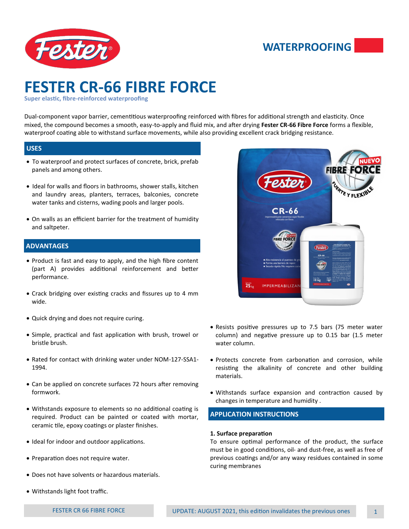

## **WATERPROOFING**

# **FESTER CR-66 FIBRE FORCE**

**Super elastic, fibre-reinforced waterproofing** 

Dual-component vapor barrier, cementitious waterproofing reinforced with fibres for additional strength and elasticity. Once mixed, the compound becomes a smooth, easy-to-apply and fluid mix, and after drying **Fester CR-66 Fibre Force** forms a flexible, waterproof coating able to withstand surface movements, while also providing excellent crack bridging resistance.

#### **USES**

- To waterproof and protect surfaces of concrete, brick, prefab panels and among others.
- Ideal for walls and floors in bathrooms, shower stalls, kitchen and laundry areas, planters, terraces, balconies, concrete water tanks and cisterns, wading pools and larger pools.
- On walls as an efficient barrier for the treatment of humidity and saltpeter.

#### **ADVANTAGES**

- Product is fast and easy to apply, and the high fibre content (part A) provides additional reinforcement and better performance.
- Crack bridging over existing cracks and fissures up to 4 mm wide.
- Quick drying and does not require curing.
- Simple, practical and fast application with brush, trowel or bristle brush.
- Rated for contact with drinking water under NOM-127-SSA1- 1994.
- Can be applied on concrete surfaces 72 hours after removing formwork.
- Withstands exposure to elements so no additional coating is required. Product can be painted or coated with mortar, ceramic tile, epoxy coatings or plaster finishes.
- Ideal for indoor and outdoor applications.
- Preparation does not require water.
- Does not have solvents or hazardous materials.
- Withstands light foot traffic.



- Resists positive pressures up to 7.5 bars (75 meter water column) and negative pressure up to 0.15 bar (1.5 meter water column.
- Protects concrete from carbonation and corrosion, while resisting the alkalinity of concrete and other building materials.
- Withstands surface expansion and contraction caused by changes in temperature and humidity .

#### **APPLICATION INSTRUCTIONS**

#### **1. Surface preparation**

To ensure optimal performance of the product, the surface must be in good conditions, oil- and dust-free, as well as free of previous coatings and/or any waxy residues contained in some curing membranes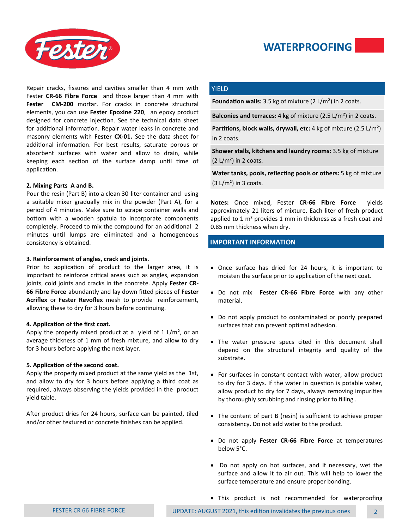



Repair cracks, fissures and cavities smaller than 4 mm with Fester **CR-66 Fibre Force** and those larger than 4 mm with **Fester CM-200** mortar. For cracks in concrete structural elements, you can use **Fester Epoxine 220**,an epoxy product designed for concrete injection. See the technical data sheet for additional information. Repair water leaks in concrete and masonry elements with **Fester CX-01.** See the data sheet for additional information. For best results, saturate porous or absorbent surfaces with water and allow to drain, while keeping each section of the surface damp until time of application.

#### **2. Mixing Parts A and B.**

Pour the resin (Part B) into a clean 30-liter container and using a suitable mixer gradually mix in the powder (Part A), for a period of 4 minutes. Make sure to scrape container walls and bottom with a wooden spatula to incorporate components completely. Proceed to mix the compound for an additional 2 minutes until lumps are eliminated and a homogeneous consistency is obtained.

#### **3. Reinforcement of angles, crack and joints.**

Prior to application of product to the larger area, it is important to reinforce critical areas such as angles, expansion joints, cold joints and cracks in the concrete. Apply **Fester CR-66 Fibre Force** abundantly and lay down fitted pieces of **Fester Acriflex** or **Fester Revoflex** mesh to provide reinforcement, allowing these to dry for 3 hours before continuing.

#### **4. Application of the first coat.**

Apply the properly mixed product at a yield of  $1 \frac{\mu}{m^2}$ , or an average thickness of 1 mm of fresh mixture, and allow to dry for 3 hours before applying the next layer.

#### **5. Application of the second coat.**

Apply the properly mixed product at the same yield as the 1st, and allow to dry for 3 hours before applying a third coat as required, always observing the yields provided in the product yield table.

After product dries for 24 hours, surface can be painted, tiled and/or other textured or concrete finishes can be applied.

#### **YIELD**

**Foundation walls:** 3.5 kg of mixture (2 L/m<sup>2</sup>) in 2 coats.

**Balconies and terraces:** 4 kg of mixture (2.5 L/m²) in 2 coats.

Partitions, block walls, drywall, etc: 4 kg of mixture (2.5 L/m<sup>2</sup>) in 2 coats.

**Shower stalls, kitchens and laundry rooms:** 3.5 kg of mixture  $(2 L/m<sup>2</sup>)$  in 2 coats.

**Water tanks, pools, reflecting pools or others:** 5 kg of mixture  $(3 L/m<sup>2</sup>)$  in 3 coats.

**Notes:** Once mixed, Fester **CR-66 Fibre Force** yields approximately 21 liters of mixture. Each liter of fresh product applied to 1 m<sup>2</sup> provides 1 mm in thickness as a fresh coat and 0.85 mm thickness when dry.

#### **IMPORTANT INFORMATION**

- Once surface has dried for 24 hours, it is important to moisten the surface prior to application of the next coat.
- Do not mix **Fester CR-66 Fibre Force** with any other material.
- Do not apply product to contaminated or poorly prepared surfaces that can prevent optimal adhesion.
- The water pressure specs cited in this document shall depend on the structural integrity and quality of the substrate.
- For surfaces in constant contact with water, allow product to dry for 3 days. If the water in question is potable water, allow product to dry for 7 days, always removing impurities by thoroughly scrubbing and rinsing prior to filling .
- The content of part B (resin) is sufficient to achieve proper consistency. Do not add water to the product.
- Do not apply **Fester CR-66 Fibre Force** at temperatures below 5°C.
- Do not apply on hot surfaces, and if necessary, wet the surface and allow it to air out. This will help to lower the surface temperature and ensure proper bonding.
- This product is not recommended for waterproofing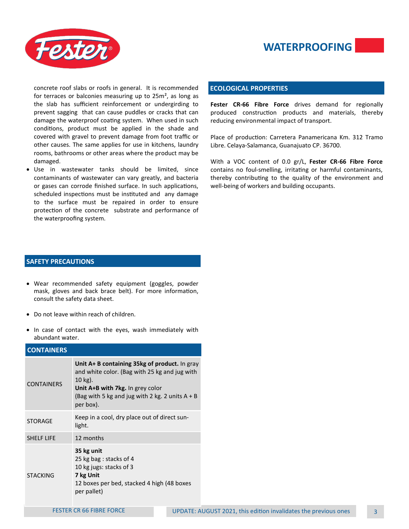



concrete roof slabs or roofs in general. It is recommended for terraces or balconies measuring up to  $25m^2$ , as long as the slab has sufficient reinforcement or undergirding to prevent sagging that can cause puddles or cracks that can damage the waterproof coating system. When used in such conditions, product must be applied in the shade and covered with gravel to prevent damage from foot traffic or other causes. The same applies for use in kitchens, laundry rooms, bathrooms or other areas where the product may be damaged.

• Use in wastewater tanks should be limited, since contaminants of wastewater can vary greatly, and bacteria or gases can corrode finished surface. In such applications, scheduled inspections must be instituted and any damage to the surface must be repaired in order to ensure protection of the concrete substrate and performance of the waterproofing system.

#### **SAFETY PRECAUTIONS**

- Wear recommended safety equipment (goggles, powder mask, gloves and back brace belt). For more information, consult the safety data sheet.
- Do not leave within reach of children.
- In case of contact with the eyes, wash immediately with abundant water.

#### **CONTAINERS**

| <b>CONTAINERS</b> | Unit A+ B containing 35kg of product. In gray<br>and white color. (Bag with 25 kg and jug with<br>$10$ kg).<br>Unit A+B with 7kg. In grey color<br>(Bag with 5 kg and jug with 2 kg. 2 units $A + B$<br>per box). |  |  |
|-------------------|-------------------------------------------------------------------------------------------------------------------------------------------------------------------------------------------------------------------|--|--|
| <b>STORAGE</b>    | Keep in a cool, dry place out of direct sun-<br>light.                                                                                                                                                            |  |  |
| <b>SHELF LIFE</b> | 12 months                                                                                                                                                                                                         |  |  |
| <b>STACKING</b>   | 35 kg unit<br>25 kg bag: stacks of 4<br>10 kg jugs: stacks of 3<br>7 kg Unit<br>12 boxes per bed, stacked 4 high (48 boxes<br>per pallet)                                                                         |  |  |

#### **ECOLOGICAL PROPERTIES**

**Fester CR-66 Fibre Force** drives demand for regionally produced construction products and materials, thereby reducing environmental impact of transport.

Place of production: Carretera Panamericana Km. 312 Tramo Libre. Celaya-Salamanca, Guanajuato CP. 36700.

With a VOC content of 0.0 gr/L, **Fester CR-66 Fibre Force**  contains no foul-smelling, irritating or harmful contaminants, thereby contributing to the quality of the environment and well-being of workers and building occupants.